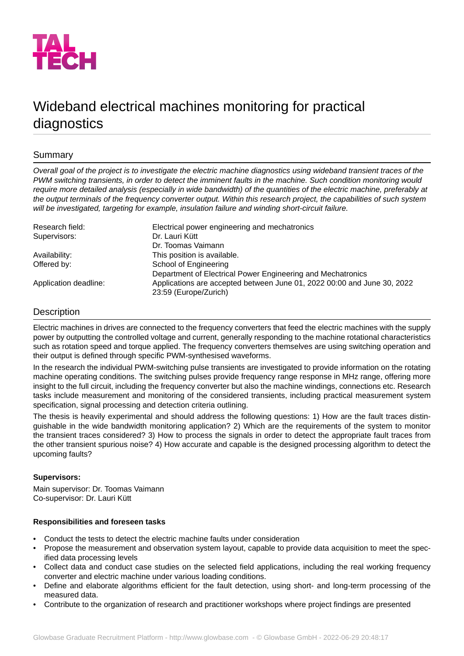

# Wideband electrical machines monitoring for practical diagnostics

# Summary

*Overall goal of the project is to investigate the electric machine diagnostics using wideband transient traces of the PWM switching transients, in order to detect the imminent faults in the machine. Such condition monitoring would require more detailed analysis (especially in wide bandwidth) of the quantities of the electric machine, preferably at* the output terminals of the frequency converter output. Within this research project, the capabilities of such system *will be investigated, targeting for example, insulation failure and winding short-circuit failure.*

| Research field:       | Electrical power engineering and mechatronics                           |
|-----------------------|-------------------------------------------------------------------------|
| Supervisors:          | Dr. Lauri Kütt                                                          |
|                       | Dr. Toomas Vaimann                                                      |
| Availability:         | This position is available.                                             |
| Offered by:           | School of Engineering                                                   |
|                       | Department of Electrical Power Engineering and Mechatronics             |
| Application deadline: | Applications are accepted between June 01, 2022 00:00 and June 30, 2022 |
|                       | 23:59 (Europe/Zurich)                                                   |

# **Description**

Electric machines in drives are connected to the frequency converters that feed the electric machines with the supply power by outputting the controlled voltage and current, generally responding to the machine rotational characteristics such as rotation speed and torque applied. The frequency converters themselves are using switching operation and their output is defined through specific PWM-synthesised waveforms.

In the research the individual PWM-switching pulse transients are investigated to provide information on the rotating machine operating conditions. The switching pulses provide frequency range response in MHz range, offering more insight to the full circuit, including the frequency converter but also the machine windings, connections etc. Research tasks include measurement and monitoring of the considered transients, including practical measurement system specification, signal processing and detection criteria outlining.

The thesis is heavily experimental and should address the following questions: 1) How are the fault traces distinguishable in the wide bandwidth monitoring application? 2) Which are the requirements of the system to monitor the transient traces considered? 3) How to process the signals in order to detect the appropriate fault traces from the other transient spurious noise? 4) How accurate and capable is the designed processing algorithm to detect the upcoming faults?

## **Supervisors:**

Main supervisor: Dr. Toomas Vaimann Co-supervisor: Dr. Lauri Kütt

## **Responsibilities and foreseen tasks**

- Conduct the tests to detect the electric machine faults under consideration
- Propose the measurement and observation system layout, capable to provide data acquisition to meet the specified data processing levels
- Collect data and conduct case studies on the selected field applications, including the real working frequency converter and electric machine under various loading conditions.
- Define and elaborate algorithms efficient for the fault detection, using short- and long-term processing of the measured data.
- Contribute to the organization of research and practitioner workshops where project findings are presented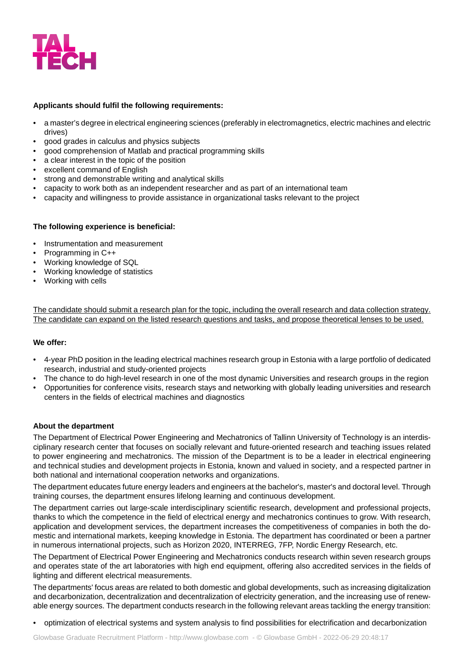

#### **Applicants should fulfil the following requirements:**

- a master's degree in electrical engineering sciences (preferably in electromagnetics, electric machines and electric drives)
- good grades in calculus and physics subjects
- good comprehension of Matlab and practical programming skills
- a clear interest in the topic of the position
- excellent command of English
- strong and demonstrable writing and analytical skills
- capacity to work both as an independent researcher and as part of an international team
- capacity and willingness to provide assistance in organizational tasks relevant to the project

#### **The following experience is beneficial:**

- Instrumentation and measurement
- Programming in C++
- Working knowledge of SQL
- Working knowledge of statistics
- Working with cells

The candidate should submit a research plan for the topic, including the overall research and data collection strategy. The candidate can expand on the listed research questions and tasks, and propose theoretical lenses to be used.

#### **We offer:**

- 4-year PhD position in the leading electrical machines research group in Estonia with a large portfolio of dedicated research, industrial and study-oriented projects
- The chance to do high-level research in one of the most dynamic Universities and research groups in the region
- Opportunities for conference visits, research stays and networking with globally leading universities and research centers in the fields of electrical machines and diagnostics

#### **About the department**

The Department of Electrical Power Engineering and Mechatronics of Tallinn University of Technology is an interdisciplinary research center that focuses on socially relevant and future-oriented research and teaching issues related to power engineering and mechatronics. The mission of the Department is to be a leader in electrical engineering and technical studies and development projects in Estonia, known and valued in society, and a respected partner in both national and international cooperation networks and organizations.

The department educates future energy leaders and engineers at the bachelor's, master's and doctoral level. Through training courses, the department ensures lifelong learning and continuous development.

The department carries out large-scale interdisciplinary scientific research, development and professional projects, thanks to which the competence in the field of electrical energy and mechatronics continues to grow. With research, application and development services, the department increases the competitiveness of companies in both the domestic and international markets, keeping knowledge in Estonia. The department has coordinated or been a partner in numerous international projects, such as Horizon 2020, INTERREG, 7FP, Nordic Energy Research, etc.

The Department of Electrical Power Engineering and Mechatronics conducts research within seven research groups and operates state of the art laboratories with high end equipment, offering also accredited services in the fields of lighting and different electrical measurements.

The departments' focus areas are related to both domestic and global developments, such as increasing digitalization and decarbonization, decentralization and decentralization of electricity generation, and the increasing use of renewable energy sources. The department conducts research in the following relevant areas tackling the energy transition:

• optimization of electrical systems and system analysis to find possibilities for electrification and decarbonization